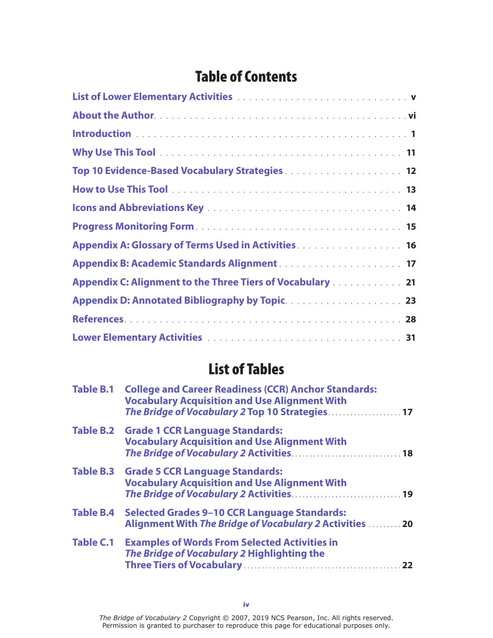## Table of Contents

| Top 10 Evidence-Based Vocabulary Strategies 12                                                                                                                                                             |
|------------------------------------------------------------------------------------------------------------------------------------------------------------------------------------------------------------|
|                                                                                                                                                                                                            |
|                                                                                                                                                                                                            |
|                                                                                                                                                                                                            |
| Appendix A: Glossary of Terms Used in Activities <b>Activities Activities Activities Activities Activities Activities Activities Activities Activities Activities Activities Activities Activities Act</b> |
|                                                                                                                                                                                                            |
| Appendix C: Alignment to the Three Tiers of Vocabulary 21                                                                                                                                                  |
|                                                                                                                                                                                                            |
|                                                                                                                                                                                                            |
|                                                                                                                                                                                                            |

## List of Tables

| <b>Table B.1</b> | <b>College and Career Readiness (CCR) Anchor Standards:</b><br><b>Vocabulary Acquisition and Use Alignment With</b><br>The Bridge of Vocabulary 2 Top 10 Strategies 17<br>Table B.2 Grade 1 CCR Language Standards:<br><b>Vocabulary Acquisition and Use Alignment With</b> |  |
|------------------|-----------------------------------------------------------------------------------------------------------------------------------------------------------------------------------------------------------------------------------------------------------------------------|--|
|                  |                                                                                                                                                                                                                                                                             |  |
|                  | Table B.3 Grade 5 CCR Language Standards:<br><b>Vocabulary Acquisition and Use Alignment With</b>                                                                                                                                                                           |  |
| <b>Table B.4</b> | <b>Selected Grades 9-10 CCR Language Standards:</b><br>Alignment With The Bridge of Vocabulary 2 Activities  20                                                                                                                                                             |  |
| <b>Table C.1</b> | <b>Examples of Words From Selected Activities in</b><br>The Bridge of Vocabulary 2 Highlighting the                                                                                                                                                                         |  |